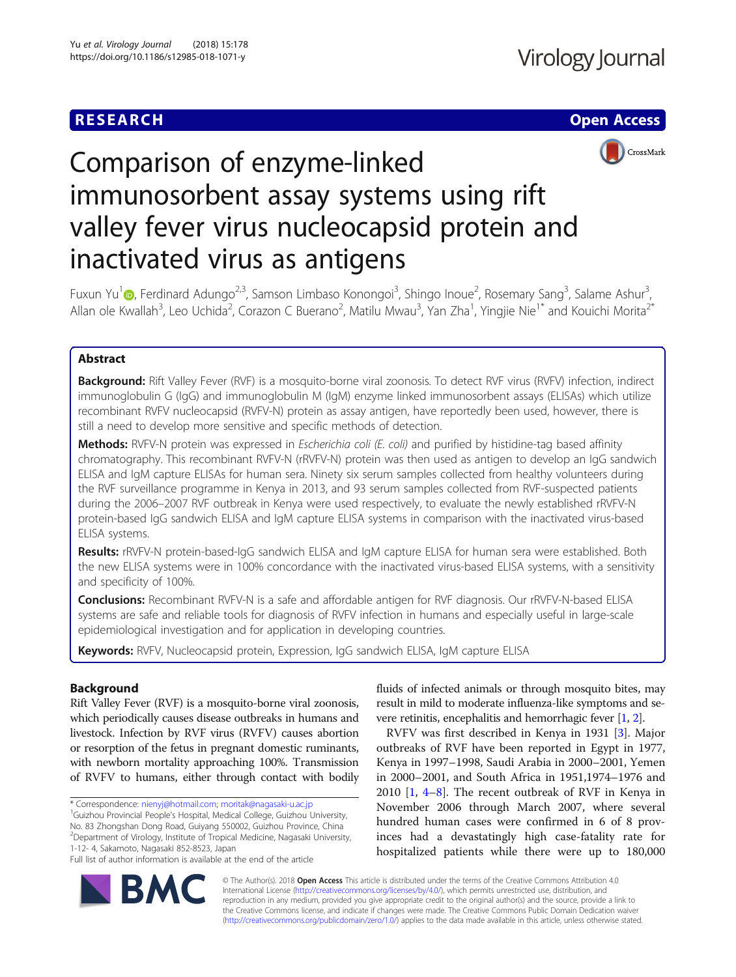## **RESEARCH CHE Open Access**



# Comparison of enzyme-linked immunosorbent assay systems using rift valley fever virus nucleocapsid protein and inactivated virus as antigens

Fuxun Yu<sup>1</sup> (D)[,](http://orcid.org/0000-0001-8804-2755) Ferdinard Adungo<sup>2,3</sup>, Samson Limbaso Konongoi<sup>3</sup>, Shingo Inoue<sup>2</sup>, Rosemary Sang<sup>3</sup>, Salame Ashur<sup>3</sup> , Allan ole Kwallah<sup>3</sup>, Leo Uchida<sup>2</sup>, Corazon C Buerano<sup>2</sup>, Matilu Mwau<sup>3</sup>, Yan Zha<sup>1</sup>, Yingjie Nie<sup>1\*</sup> and Kouichi Morita<sup>2\*</sup>

### Abstract

Background: Rift Valley Fever (RVF) is a mosquito-borne viral zoonosis. To detect RVF virus (RVFV) infection, indirect immunoglobulin G (IgG) and immunoglobulin M (IgM) enzyme linked immunosorbent assays (ELISAs) which utilize recombinant RVFV nucleocapsid (RVFV-N) protein as assay antigen, have reportedly been used, however, there is still a need to develop more sensitive and specific methods of detection.

Methods: RVFV-N protein was expressed in Escherichia coli (E. coli) and purified by histidine-tag based affinity chromatography. This recombinant RVFV-N (rRVFV-N) protein was then used as antigen to develop an IgG sandwich ELISA and IgM capture ELISAs for human sera. Ninety six serum samples collected from healthy volunteers during the RVF surveillance programme in Kenya in 2013, and 93 serum samples collected from RVF-suspected patients during the 2006–2007 RVF outbreak in Kenya were used respectively, to evaluate the newly established rRVFV-N protein-based IgG sandwich ELISA and IgM capture ELISA systems in comparison with the inactivated virus-based ELISA systems.

Results: rRVFV-N protein-based-IgG sandwich ELISA and IgM capture ELISA for human sera were established. Both the new ELISA systems were in 100% concordance with the inactivated virus-based ELISA systems, with a sensitivity and specificity of 100%.

Conclusions: Recombinant RVFV-N is a safe and affordable antigen for RVF diagnosis. Our rRVFV-N-based ELISA systems are safe and reliable tools for diagnosis of RVFV infection in humans and especially useful in large-scale epidemiological investigation and for application in developing countries.

Keywords: RVFV, Nucleocapsid protein, Expression, IgG sandwich ELISA, IgM capture ELISA

#### Background

Rift Valley Fever (RVF) is a mosquito-borne viral zoonosis, which periodically causes disease outbreaks in humans and livestock. Infection by RVF virus (RVFV) causes abortion or resorption of the fetus in pregnant domestic ruminants, with newborn mortality approaching 100%. Transmission of RVFV to humans, either through contact with bodily

\* Correspondence: [nienyj@hotmail.com](mailto:nienyj@hotmail.com); [moritak@nagasaki-u.ac.jp](mailto:moritak@nagasaki-u.ac.jp) <sup>1</sup>

<sup>1</sup>Guizhou Provincial People's Hospital, Medical College, Guizhou University, No. 83 Zhongshan Dong Road, Guiyang 550002, Guizhou Province, China 2 Department of Virology, Institute of Tropical Medicine, Nagasaki University, 1-12- 4, Sakamoto, Nagasaki 852-8523, Japan

Full list of author information is available at the end of the article

fluids of infected animals or through mosquito bites, may result in mild to moderate influenza-like symptoms and severe retinitis, encephalitis and hemorrhagic fever [[1,](#page-6-0) [2](#page-6-0)].

RVFV was first described in Kenya in 1931 [\[3\]](#page-6-0). Major outbreaks of RVF have been reported in Egypt in 1977, Kenya in 1997–1998, Saudi Arabia in 2000–2001, Yemen in 2000–2001, and South Africa in 1951,1974–1976 and 2010 [\[1](#page-6-0), [4](#page-6-0)–[8](#page-6-0)]. The recent outbreak of RVF in Kenya in November 2006 through March 2007, where several hundred human cases were confirmed in 6 of 8 provinces had a devastatingly high case-fatality rate for hospitalized patients while there were up to 180,000



© The Author(s). 2018 Open Access This article is distributed under the terms of the Creative Commons Attribution 4.0 International License [\(http://creativecommons.org/licenses/by/4.0/](http://creativecommons.org/licenses/by/4.0/)), which permits unrestricted use, distribution, and reproduction in any medium, provided you give appropriate credit to the original author(s) and the source, provide a link to the Creative Commons license, and indicate if changes were made. The Creative Commons Public Domain Dedication waiver [\(http://creativecommons.org/publicdomain/zero/1.0/](http://creativecommons.org/publicdomain/zero/1.0/)) applies to the data made available in this article, unless otherwise stated.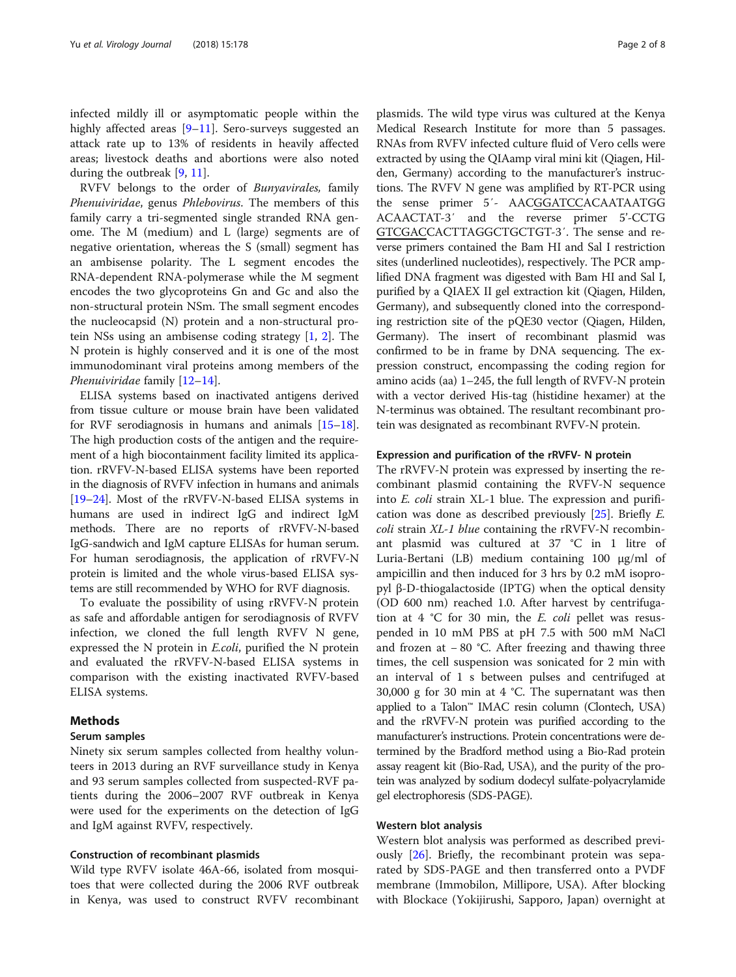infected mildly ill or asymptomatic people within the highly affected areas [\[9](#page-6-0)–[11\]](#page-6-0). Sero-surveys suggested an attack rate up to 13% of residents in heavily affected areas; livestock deaths and abortions were also noted during the outbreak [\[9](#page-6-0), [11](#page-6-0)].

RVFV belongs to the order of Bunyavirales, family Phenuiviridae, genus Phlebovirus. The members of this family carry a tri-segmented single stranded RNA genome. The M (medium) and L (large) segments are of negative orientation, whereas the S (small) segment has an ambisense polarity. The L segment encodes the RNA-dependent RNA-polymerase while the M segment encodes the two glycoproteins Gn and Gc and also the non-structural protein NSm. The small segment encodes the nucleocapsid (N) protein and a non-structural protein NSs using an ambisense coding strategy [[1,](#page-6-0) [2](#page-6-0)]. The N protein is highly conserved and it is one of the most immunodominant viral proteins among members of the Phenuiviridae family [[12](#page-6-0)–[14](#page-6-0)].

ELISA systems based on inactivated antigens derived from tissue culture or mouse brain have been validated for RVF serodiagnosis in humans and animals [\[15](#page-6-0)–[18](#page-7-0)]. The high production costs of the antigen and the requirement of a high biocontainment facility limited its application. rRVFV-N-based ELISA systems have been reported in the diagnosis of RVFV infection in humans and animals [[19](#page-7-0)–[24\]](#page-7-0). Most of the rRVFV-N-based ELISA systems in humans are used in indirect IgG and indirect IgM methods. There are no reports of rRVFV-N-based IgG-sandwich and IgM capture ELISAs for human serum. For human serodiagnosis, the application of rRVFV-N protein is limited and the whole virus-based ELISA systems are still recommended by WHO for RVF diagnosis.

To evaluate the possibility of using rRVFV-N protein as safe and affordable antigen for serodiagnosis of RVFV infection, we cloned the full length RVFV N gene, expressed the N protein in E.coli, purified the N protein and evaluated the rRVFV-N-based ELISA systems in comparison with the existing inactivated RVFV-based ELISA systems.

#### Methods

#### Serum samples

Ninety six serum samples collected from healthy volunteers in 2013 during an RVF surveillance study in Kenya and 93 serum samples collected from suspected-RVF patients during the 2006–2007 RVF outbreak in Kenya were used for the experiments on the detection of IgG and IgM against RVFV, respectively.

#### Construction of recombinant plasmids

Wild type RVFV isolate 46A-66, isolated from mosquitoes that were collected during the 2006 RVF outbreak in Kenya, was used to construct RVFV recombinant plasmids. The wild type virus was cultured at the Kenya Medical Research Institute for more than 5 passages. RNAs from RVFV infected culture fluid of Vero cells were extracted by using the QIAamp viral mini kit (Qiagen, Hilden, Germany) according to the manufacturer's instructions. The RVFV N gene was amplified by RT-PCR using the sense primer 5′- AACGGATCCACAATAATGG ACAACTAT-3′ and the reverse primer 5'-CCTG GTCGACCACTTAGGCTGCTGT-3′. The sense and reverse primers contained the Bam HI and Sal I restriction sites (underlined nucleotides), respectively. The PCR amplified DNA fragment was digested with Bam HI and Sal I, purified by a QIAEX II gel extraction kit (Qiagen, Hilden, Germany), and subsequently cloned into the corresponding restriction site of the pQE30 vector (Qiagen, Hilden, Germany). The insert of recombinant plasmid was confirmed to be in frame by DNA sequencing. The expression construct, encompassing the coding region for amino acids (aa) 1–245, the full length of RVFV-N protein with a vector derived His-tag (histidine hexamer) at the N-terminus was obtained. The resultant recombinant protein was designated as recombinant RVFV-N protein.

#### Expression and purification of the rRVFV- N protein

The rRVFV-N protein was expressed by inserting the recombinant plasmid containing the RVFV-N sequence into E. coli strain XL-1 blue. The expression and purification was done as described previously [\[25](#page-7-0)]. Briefly E. coli strain XL-1 blue containing the rRVFV-N recombinant plasmid was cultured at 37 °C in 1 litre of Luria-Bertani (LB) medium containing 100 μg/ml of ampicillin and then induced for 3 hrs by 0.2 mM isopropyl β-D-thiogalactoside (IPTG) when the optical density (OD 600 nm) reached 1.0. After harvest by centrifugation at  $4 \text{ }^{\circ}C$  for 30 min, the *E. coli* pellet was resuspended in 10 mM PBS at pH 7.5 with 500 mM NaCl and frozen at − 80 °C. After freezing and thawing three times, the cell suspension was sonicated for 2 min with an interval of 1 s between pulses and centrifuged at 30,000 g for 30 min at 4 °C. The supernatant was then applied to a Talon™ IMAC resin column (Clontech, USA) and the rRVFV-N protein was purified according to the manufacturer's instructions. Protein concentrations were determined by the Bradford method using a Bio-Rad protein assay reagent kit (Bio-Rad, USA), and the purity of the protein was analyzed by sodium dodecyl sulfate-polyacrylamide gel electrophoresis (SDS-PAGE).

#### Western blot analysis

Western blot analysis was performed as described previously [\[26\]](#page-7-0). Briefly, the recombinant protein was separated by SDS-PAGE and then transferred onto a PVDF membrane (Immobilon, Millipore, USA). After blocking with Blockace (Yokijirushi, Sapporo, Japan) overnight at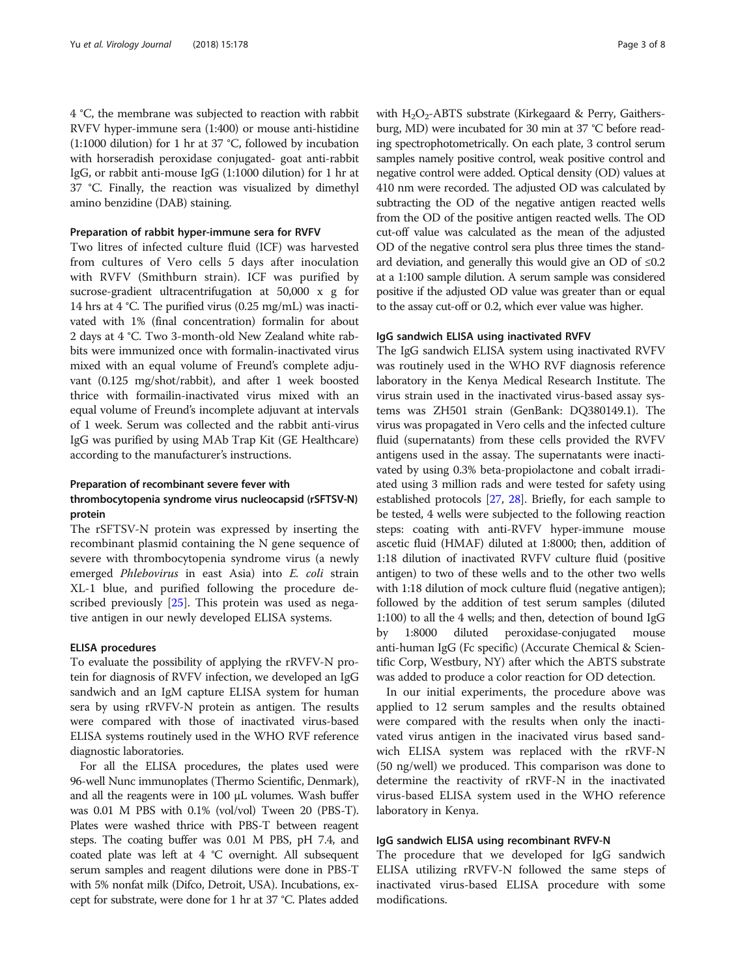4 °C, the membrane was subjected to reaction with rabbit RVFV hyper-immune sera (1:400) or mouse anti-histidine (1:1000 dilution) for 1 hr at 37 °C, followed by incubation with horseradish peroxidase conjugated- goat anti-rabbit IgG, or rabbit anti-mouse IgG (1:1000 dilution) for 1 hr at 37 °C. Finally, the reaction was visualized by dimethyl amino benzidine (DAB) staining.

#### Preparation of rabbit hyper-immune sera for RVFV

Two litres of infected culture fluid (ICF) was harvested from cultures of Vero cells 5 days after inoculation with RVFV (Smithburn strain). ICF was purified by sucrose-gradient ultracentrifugation at 50,000 x g for 14 hrs at 4 °C. The purified virus (0.25 mg/mL) was inactivated with 1% (final concentration) formalin for about 2 days at 4 °C. Two 3-month-old New Zealand white rabbits were immunized once with formalin-inactivated virus mixed with an equal volume of Freund's complete adjuvant (0.125 mg/shot/rabbit), and after 1 week boosted thrice with formailin-inactivated virus mixed with an equal volume of Freund's incomplete adjuvant at intervals of 1 week. Serum was collected and the rabbit anti-virus IgG was purified by using MAb Trap Kit (GE Healthcare) according to the manufacturer's instructions.

#### Preparation of recombinant severe fever with thrombocytopenia syndrome virus nucleocapsid (rSFTSV-N) protein

The rSFTSV-N protein was expressed by inserting the recombinant plasmid containing the N gene sequence of severe with thrombocytopenia syndrome virus (a newly emerged Phlebovirus in east Asia) into E. coli strain XL-1 blue, and purified following the procedure de-scribed previously [[25\]](#page-7-0). This protein was used as negative antigen in our newly developed ELISA systems.

#### ELISA procedures

To evaluate the possibility of applying the rRVFV-N protein for diagnosis of RVFV infection, we developed an IgG sandwich and an IgM capture ELISA system for human sera by using rRVFV-N protein as antigen. The results were compared with those of inactivated virus-based ELISA systems routinely used in the WHO RVF reference diagnostic laboratories.

For all the ELISA procedures, the plates used were 96-well Nunc immunoplates (Thermo Scientific, Denmark), and all the reagents were in 100 μL volumes. Wash buffer was 0.01 M PBS with 0.1% (vol/vol) Tween 20 (PBS-T). Plates were washed thrice with PBS-T between reagent steps. The coating buffer was 0.01 M PBS, pH 7.4, and coated plate was left at 4 °C overnight. All subsequent serum samples and reagent dilutions were done in PBS-T with 5% nonfat milk (Difco, Detroit, USA). Incubations, except for substrate, were done for 1 hr at 37 °C. Plates added with  $H_2O_2$ -ABTS substrate (Kirkegaard & Perry, Gaithersburg, MD) were incubated for 30 min at 37 °C before reading spectrophotometrically. On each plate, 3 control serum samples namely positive control, weak positive control and negative control were added. Optical density (OD) values at 410 nm were recorded. The adjusted OD was calculated by subtracting the OD of the negative antigen reacted wells from the OD of the positive antigen reacted wells. The OD cut-off value was calculated as the mean of the adjusted OD of the negative control sera plus three times the standard deviation, and generally this would give an OD of  $\leq 0.2$ at a 1:100 sample dilution. A serum sample was considered positive if the adjusted OD value was greater than or equal to the assay cut-off or 0.2, which ever value was higher.

#### IgG sandwich ELISA using inactivated RVFV

The IgG sandwich ELISA system using inactivated RVFV was routinely used in the WHO RVF diagnosis reference laboratory in the Kenya Medical Research Institute. The virus strain used in the inactivated virus-based assay systems was ZH501 strain (GenBank: DQ380149.1). The virus was propagated in Vero cells and the infected culture fluid (supernatants) from these cells provided the RVFV antigens used in the assay. The supernatants were inactivated by using 0.3% beta-propiolactone and cobalt irradiated using 3 million rads and were tested for safety using established protocols [\[27,](#page-7-0) [28](#page-7-0)]. Briefly, for each sample to be tested, 4 wells were subjected to the following reaction steps: coating with anti-RVFV hyper-immune mouse ascetic fluid (HMAF) diluted at 1:8000; then, addition of 1:18 dilution of inactivated RVFV culture fluid (positive antigen) to two of these wells and to the other two wells with 1:18 dilution of mock culture fluid (negative antigen); followed by the addition of test serum samples (diluted 1:100) to all the 4 wells; and then, detection of bound IgG by 1:8000 diluted peroxidase-conjugated mouse anti-human IgG (Fc specific) (Accurate Chemical & Scientific Corp, Westbury, NY) after which the ABTS substrate was added to produce a color reaction for OD detection.

In our initial experiments, the procedure above was applied to 12 serum samples and the results obtained were compared with the results when only the inactivated virus antigen in the inacivated virus based sandwich ELISA system was replaced with the rRVF-N (50 ng/well) we produced. This comparison was done to determine the reactivity of rRVF-N in the inactivated virus-based ELISA system used in the WHO reference laboratory in Kenya.

#### IgG sandwich ELISA using recombinant RVFV-N

The procedure that we developed for IgG sandwich ELISA utilizing rRVFV-N followed the same steps of inactivated virus-based ELISA procedure with some modifications.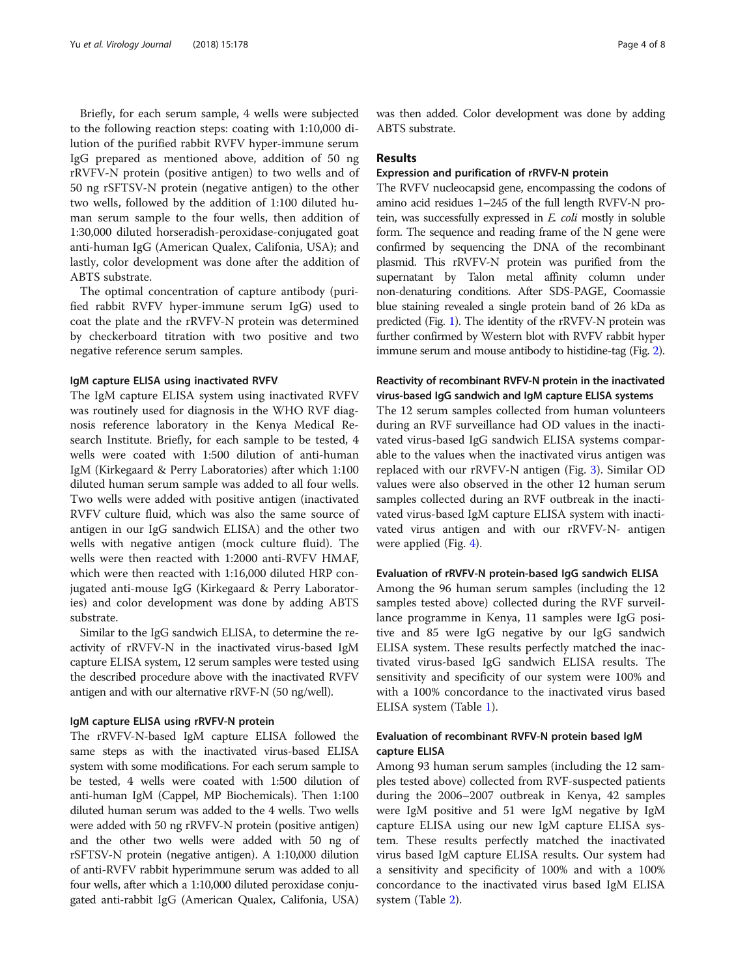Briefly, for each serum sample, 4 wells were subjected to the following reaction steps: coating with 1:10,000 dilution of the purified rabbit RVFV hyper-immune serum IgG prepared as mentioned above, addition of 50 ng rRVFV-N protein (positive antigen) to two wells and of 50 ng rSFTSV-N protein (negative antigen) to the other two wells, followed by the addition of 1:100 diluted human serum sample to the four wells, then addition of 1:30,000 diluted horseradish-peroxidase-conjugated goat anti-human IgG (American Qualex, Califonia, USA); and lastly, color development was done after the addition of ABTS substrate.

The optimal concentration of capture antibody (purified rabbit RVFV hyper-immune serum IgG) used to coat the plate and the rRVFV-N protein was determined by checkerboard titration with two positive and two negative reference serum samples.

#### IgM capture ELISA using inactivated RVFV

The IgM capture ELISA system using inactivated RVFV was routinely used for diagnosis in the WHO RVF diagnosis reference laboratory in the Kenya Medical Research Institute. Briefly, for each sample to be tested, 4 wells were coated with 1:500 dilution of anti-human IgM (Kirkegaard & Perry Laboratories) after which 1:100 diluted human serum sample was added to all four wells. Two wells were added with positive antigen (inactivated RVFV culture fluid, which was also the same source of antigen in our IgG sandwich ELISA) and the other two wells with negative antigen (mock culture fluid). The wells were then reacted with 1:2000 anti-RVFV HMAF, which were then reacted with 1:16,000 diluted HRP conjugated anti-mouse IgG (Kirkegaard & Perry Laboratories) and color development was done by adding ABTS substrate.

Similar to the IgG sandwich ELISA, to determine the reactivity of rRVFV-N in the inactivated virus-based IgM capture ELISA system, 12 serum samples were tested using the described procedure above with the inactivated RVFV antigen and with our alternative rRVF-N (50 ng/well).

#### IgM capture ELISA using rRVFV-N protein

The rRVFV-N-based IgM capture ELISA followed the same steps as with the inactivated virus-based ELISA system with some modifications. For each serum sample to be tested, 4 wells were coated with 1:500 dilution of anti-human IgM (Cappel, MP Biochemicals). Then 1:100 diluted human serum was added to the 4 wells. Two wells were added with 50 ng rRVFV-N protein (positive antigen) and the other two wells were added with 50 ng of rSFTSV-N protein (negative antigen). A 1:10,000 dilution of anti-RVFV rabbit hyperimmune serum was added to all four wells, after which a 1:10,000 diluted peroxidase conjugated anti-rabbit IgG (American Qualex, Califonia, USA) was then added. Color development was done by adding ABTS substrate.

#### Results

#### Expression and purification of rRVFV-N protein

The RVFV nucleocapsid gene, encompassing the codons of amino acid residues 1–245 of the full length RVFV-N protein, was successfully expressed in E. coli mostly in soluble form. The sequence and reading frame of the N gene were confirmed by sequencing the DNA of the recombinant plasmid. This rRVFV-N protein was purified from the supernatant by Talon metal affinity column under non-denaturing conditions. After SDS-PAGE, Coomassie blue staining revealed a single protein band of 26 kDa as predicted (Fig. [1](#page-4-0)). The identity of the rRVFV-N protein was further confirmed by Western blot with RVFV rabbit hyper immune serum and mouse antibody to histidine-tag (Fig. [2](#page-4-0)).

#### Reactivity of recombinant RVFV-N protein in the inactivated virus-based IgG sandwich and IgM capture ELISA systems

The 12 serum samples collected from human volunteers during an RVF surveillance had OD values in the inactivated virus-based IgG sandwich ELISA systems comparable to the values when the inactivated virus antigen was replaced with our rRVFV-N antigen (Fig. [3\)](#page-4-0). Similar OD values were also observed in the other 12 human serum samples collected during an RVF outbreak in the inactivated virus-based IgM capture ELISA system with inactivated virus antigen and with our rRVFV-N- antigen were applied (Fig. [4\)](#page-5-0).

#### Evaluation of rRVFV-N protein-based IgG sandwich ELISA

Among the 96 human serum samples (including the 12 samples tested above) collected during the RVF surveillance programme in Kenya, 11 samples were IgG positive and 85 were IgG negative by our IgG sandwich ELISA system. These results perfectly matched the inactivated virus-based IgG sandwich ELISA results. The sensitivity and specificity of our system were 100% and with a 100% concordance to the inactivated virus based ELISA system (Table [1\)](#page-5-0).

#### Evaluation of recombinant RVFV-N protein based IgM capture ELISA

Among 93 human serum samples (including the 12 samples tested above) collected from RVF-suspected patients during the 2006–2007 outbreak in Kenya, 42 samples were IgM positive and 51 were IgM negative by IgM capture ELISA using our new IgM capture ELISA system. These results perfectly matched the inactivated virus based IgM capture ELISA results. Our system had a sensitivity and specificity of 100% and with a 100% concordance to the inactivated virus based IgM ELISA system (Table [2\)](#page-5-0).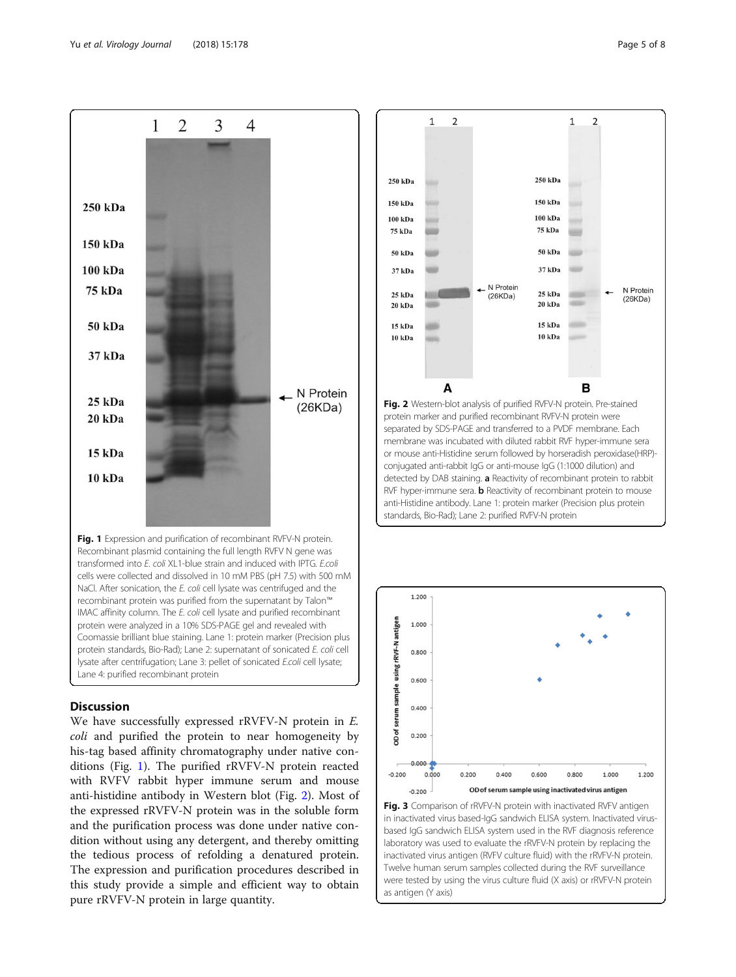<span id="page-4-0"></span>

Fig. 1 Expression and purification of recombinant RVFV-N protein. Recombinant plasmid containing the full length RVFV N gene was transformed into E. coli XL1-blue strain and induced with IPTG. E.coli cells were collected and dissolved in 10 mM PBS (pH 7.5) with 500 mM NaCl. After sonication, the E. coli cell lysate was centrifuged and the recombinant protein was purified from the supernatant by Talon™ IMAC affinity column. The E. coli cell lysate and purified recombinant protein were analyzed in a 10% SDS-PAGE gel and revealed with Coomassie brilliant blue staining. Lane 1: protein marker (Precision plus protein standards, Bio-Rad); Lane 2: supernatant of sonicated E. coli cell lysate after centrifugation; Lane 3: pellet of sonicated E.coli cell lysate; Lane 4: purified recombinant protein

#### **Discussion**

We have successfully expressed rRVFV-N protein in E. coli and purified the protein to near homogeneity by his-tag based affinity chromatography under native conditions (Fig. 1). The purified rRVFV-N protein reacted with RVFV rabbit hyper immune serum and mouse anti-histidine antibody in Western blot (Fig. 2). Most of the expressed rRVFV-N protein was in the soluble form and the purification process was done under native condition without using any detergent, and thereby omitting the tedious process of refolding a denatured protein. The expression and purification procedures described in this study provide a simple and efficient way to obtain pure rRVFV-N protein in large quantity.





Fig. 3 Comparison of rRVFV-N protein with inactivated RVFV antigen in inactivated virus based-IgG sandwich ELISA system. Inactivated virusbased IgG sandwich ELISA system used in the RVF diagnosis reference laboratory was used to evaluate the rRVFV-N protein by replacing the inactivated virus antigen (RVFV culture fluid) with the rRVFV-N protein. Twelve human serum samples collected during the RVF surveillance were tested by using the virus culture fluid (X axis) or rRVFV-N protein as antigen (Y axis)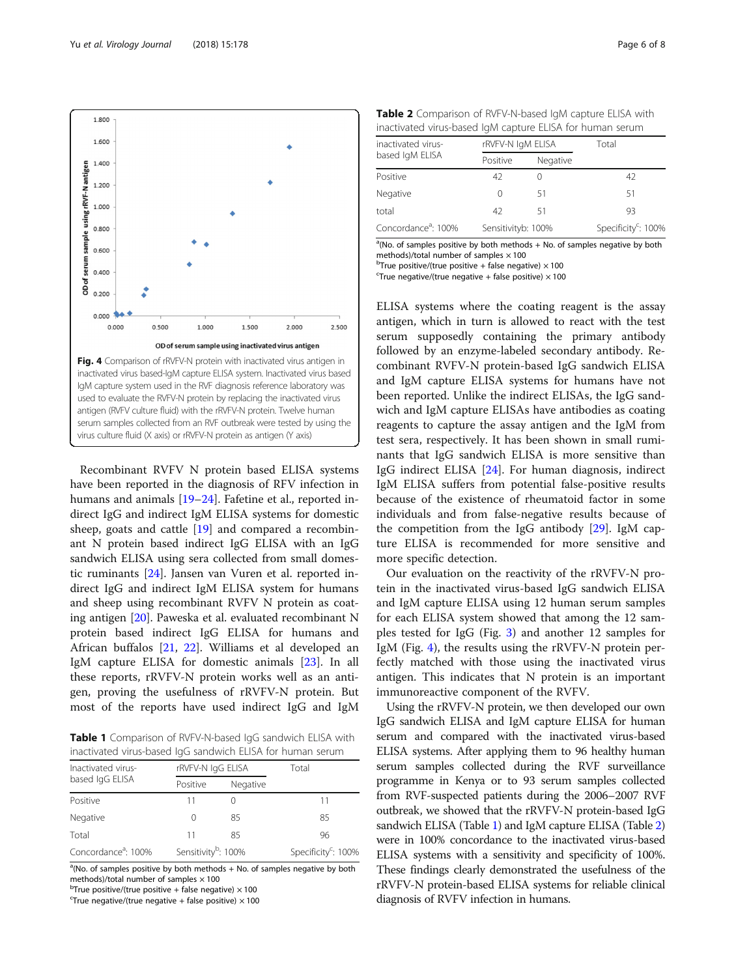<span id="page-5-0"></span>

Recombinant RVFV N protein based ELISA systems have been reported in the diagnosis of RFV infection in humans and animals [[19](#page-7-0)–[24](#page-7-0)]. Fafetine et al., reported indirect IgG and indirect IgM ELISA systems for domestic sheep, goats and cattle [\[19](#page-7-0)] and compared a recombinant N protein based indirect IgG ELISA with an IgG sandwich ELISA using sera collected from small domestic ruminants [[24](#page-7-0)]. Jansen van Vuren et al. reported indirect IgG and indirect IgM ELISA system for humans and sheep using recombinant RVFV N protein as coating antigen [[20](#page-7-0)]. Paweska et al. evaluated recombinant N protein based indirect IgG ELISA for humans and African buffalos [[21,](#page-7-0) [22\]](#page-7-0). Williams et al developed an IgM capture ELISA for domestic animals [\[23](#page-7-0)]. In all these reports, rRVFV-N protein works well as an antigen, proving the usefulness of rRVFV-N protein. But most of the reports have used indirect IgG and IgM

Table 1 Comparison of RVFV-N-based IqG sandwich ELISA with inactivated virus-based IgG sandwich ELISA for human serum

| Inactivated virus-<br>based IgG ELISA | rRVFV-N IgG ELISA               |          | Total                           |
|---------------------------------------|---------------------------------|----------|---------------------------------|
|                                       | Positive                        | Negative |                                 |
| Positive                              |                                 |          | 11                              |
| Negative                              | $\left( \right)$                | 85       | 85                              |
| Total                                 | 11                              | 85       | 96                              |
| Concordance <sup>a</sup> : 100%       | Sensitivity <sup>b</sup> : 100% |          | Specificity <sup>c</sup> : 100% |

<sup>a</sup>(No. of samples positive by both methods + No. of samples negative by both methods)/total number of samples  $\times$  100

 $^{\text{b}}$ True positive/(true positive + false negative)  $\times$  100

 $\text{``True negative/(true negative + false positive)} \times 100$ 

Table 2 Comparison of RVFV-N-based IgM capture ELISA with inactivated virus-based IgM capture ELISA for human serum

| inactivated virus-<br>based IgM ELISA | rRVFV-N IgM ELISA  |          | Total                           |
|---------------------------------------|--------------------|----------|---------------------------------|
|                                       | Positive           | Negative |                                 |
| Positive                              | 42                 |          | 42                              |
| Negative                              | 0                  | 51       | 51                              |
| total                                 | 42                 | 51       | 93                              |
| Concordance <sup>a</sup> : 100%       | Sensitivityb: 100% |          | Specificity <sup>c</sup> : 100% |

<sup>a</sup>(No. of samples positive by both methods + No. of samples negative by both methods)/total number of samples  $\times$  100

 $^{b}$ True positive/(true positive + false negative)  $\times$  100  $c$ True negative/(true negative + false positive)  $\times$  100

ELISA systems where the coating reagent is the assay antigen, which in turn is allowed to react with the test serum supposedly containing the primary antibody followed by an enzyme-labeled secondary antibody. Recombinant RVFV-N protein-based IgG sandwich ELISA and IgM capture ELISA systems for humans have not been reported. Unlike the indirect ELISAs, the IgG sandwich and IgM capture ELISAs have antibodies as coating reagents to capture the assay antigen and the IgM from test sera, respectively. It has been shown in small ruminants that IgG sandwich ELISA is more sensitive than IgG indirect ELISA [\[24\]](#page-7-0). For human diagnosis, indirect IgM ELISA suffers from potential false-positive results because of the existence of rheumatoid factor in some individuals and from false-negative results because of the competition from the IgG antibody  $[29]$  $[29]$ . IgM capture ELISA is recommended for more sensitive and more specific detection.

Our evaluation on the reactivity of the rRVFV-N protein in the inactivated virus-based IgG sandwich ELISA and IgM capture ELISA using 12 human serum samples for each ELISA system showed that among the 12 samples tested for IgG (Fig. [3\)](#page-4-0) and another 12 samples for IgM (Fig. 4), the results using the rRVFV-N protein perfectly matched with those using the inactivated virus antigen. This indicates that N protein is an important immunoreactive component of the RVFV.

Using the rRVFV-N protein, we then developed our own IgG sandwich ELISA and IgM capture ELISA for human serum and compared with the inactivated virus-based ELISA systems. After applying them to 96 healthy human serum samples collected during the RVF surveillance programme in Kenya or to 93 serum samples collected from RVF-suspected patients during the 2006–2007 RVF outbreak, we showed that the rRVFV-N protein-based IgG sandwich ELISA (Table 1) and IgM capture ELISA (Table 2) were in 100% concordance to the inactivated virus-based ELISA systems with a sensitivity and specificity of 100%. These findings clearly demonstrated the usefulness of the rRVFV-N protein-based ELISA systems for reliable clinical diagnosis of RVFV infection in humans.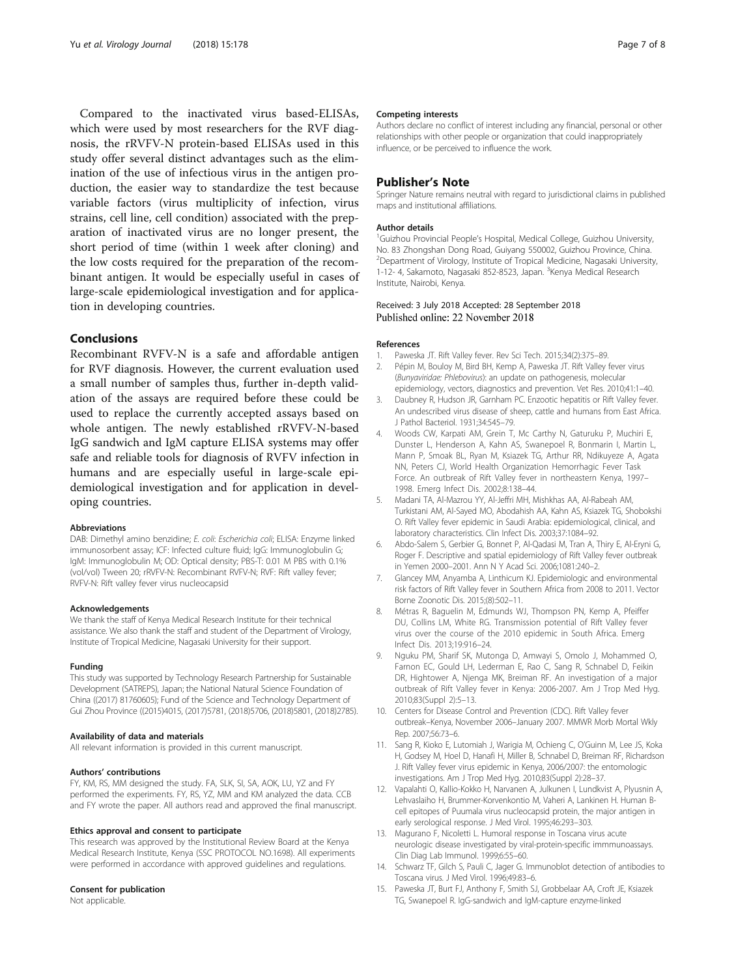<span id="page-6-0"></span>Compared to the inactivated virus based-ELISAs, which were used by most researchers for the RVF diagnosis, the rRVFV-N protein-based ELISAs used in this study offer several distinct advantages such as the elimination of the use of infectious virus in the antigen production, the easier way to standardize the test because variable factors (virus multiplicity of infection, virus strains, cell line, cell condition) associated with the preparation of inactivated virus are no longer present, the short period of time (within 1 week after cloning) and the low costs required for the preparation of the recombinant antigen. It would be especially useful in cases of large-scale epidemiological investigation and for application in developing countries.

#### Conclusions

Recombinant RVFV-N is a safe and affordable antigen for RVF diagnosis. However, the current evaluation used a small number of samples thus, further in-depth validation of the assays are required before these could be used to replace the currently accepted assays based on whole antigen. The newly established rRVFV-N-based IgG sandwich and IgM capture ELISA systems may offer safe and reliable tools for diagnosis of RVFV infection in humans and are especially useful in large-scale epidemiological investigation and for application in developing countries.

#### Abbreviations

DAB: Dimethyl amino benzidine; E. coli: Escherichia coli; ELISA: Enzyme linked immunosorbent assay; ICF: Infected culture fluid; IgG: Immunoglobulin G; IgM: Immunoglobulin M; OD: Optical density; PBS-T: 0.01 M PBS with 0.1% (vol/vol) Tween 20; rRVFV-N: Recombinant RVFV-N; RVF: Rift valley fever; RVFV-N: Rift valley fever virus nucleocapsid

#### Acknowledgements

We thank the staff of Kenya Medical Research Institute for their technical assistance. We also thank the staff and student of the Department of Virology, Institute of Tropical Medicine, Nagasaki University for their support.

#### Funding

This study was supported by Technology Research Partnership for Sustainable Development (SATREPS), Japan; the National Natural Science Foundation of China ((2017) 81760605); Fund of the Science and Technology Department of Gui Zhou Province ((2015)4015, (2017)5781, (2018)5706, (2018)5801, (2018)2785).

#### Availability of data and materials

All relevant information is provided in this current manuscript.

#### Authors' contributions

FY, KM, RS, MM designed the study. FA, SLK, SI, SA, AOK, LU, YZ and FY performed the experiments. FY, RS, YZ, MM and KM analyzed the data. CCB and FY wrote the paper. All authors read and approved the final manuscript.

#### Ethics approval and consent to participate

This research was approved by the Institutional Review Board at the Kenya Medical Research Institute, Kenya (SSC PROTOCOL NO.1698). All experiments were performed in accordance with approved guidelines and regulations.

#### Consent for publication

Not applicable.

#### Competing interests

Authors declare no conflict of interest including any financial, personal or other relationships with other people or organization that could inappropriately influence, or be perceived to influence the work.

#### Publisher's Note

Springer Nature remains neutral with regard to jurisdictional claims in published maps and institutional affiliations.

#### Author details

<sup>1</sup>Guizhou Provincial People's Hospital, Medical College, Guizhou University, No. 83 Zhongshan Dong Road, Guiyang 550002, Guizhou Province, China. <sup>2</sup> Department of Virology, Institute of Tropical Medicine, Nagasaki University, 1-12- 4, Sakamoto, Nagasaki 852-8523, Japan. <sup>3</sup>Kenya Medical Research Institute, Nairobi, Kenya.

# Received: 3 July 2018 Accepted: 28 September 2018

#### References

- 1. Paweska JT. Rift Valley fever. Rev Sci Tech. 2015;34(2):375–89.
- 2. Pépin M, Bouloy M, Bird BH, Kemp A, Paweska JT. Rift Valley fever virus (Bunyaviridae: Phlebovirus): an update on pathogenesis, molecular epidemiology, vectors, diagnostics and prevention. Vet Res. 2010;41:1–40.
- 3. Daubney R, Hudson JR, Garnham PC. Enzootic hepatitis or Rift Valley fever. An undescribed virus disease of sheep, cattle and humans from East Africa. J Pathol Bacteriol. 1931;34:545–79.
- 4. Woods CW, Karpati AM, Grein T, Mc Carthy N, Gaturuku P, Muchiri E, Dunster L, Henderson A, Kahn AS, Swanepoel R, Bonmarin I, Martin L, Mann P, Smoak BL, Ryan M, Ksiazek TG, Arthur RR, Ndikuyeze A, Agata NN, Peters CJ, World Health Organization Hemorrhagic Fever Task Force. An outbreak of Rift Valley fever in northeastern Kenya, 1997– 1998. Emerg Infect Dis. 2002;8:138–44.
- 5. Madani TA, Al-Mazrou YY, Al-Jeffri MH, Mishkhas AA, Al-Rabeah AM, Turkistani AM, Al-Sayed MO, Abodahish AA, Kahn AS, Ksiazek TG, Shobokshi O. Rift Valley fever epidemic in Saudi Arabia: epidemiological, clinical, and laboratory characteristics. Clin Infect Dis. 2003;37:1084–92.
- 6. Abdo-Salem S, Gerbier G, Bonnet P, Al-Qadasi M, Tran A, Thiry E, Al-Eryni G, Roger F. Descriptive and spatial epidemiology of Rift Valley fever outbreak in Yemen 2000–2001. Ann N Y Acad Sci. 2006;1081:240–2.
- 7. Glancey MM, Anyamba A, Linthicum KJ. Epidemiologic and environmental risk factors of Rift Valley fever in Southern Africa from 2008 to 2011. Vector Borne Zoonotic Dis. 2015;(8):502–11.
- 8. Métras R, Baguelin M, Edmunds WJ, Thompson PN, Kemp A, Pfeiffer DU, Collins LM, White RG. Transmission potential of Rift Valley fever virus over the course of the 2010 epidemic in South Africa. Emerg Infect Dis. 2013;19:916–24.
- 9. Nguku PM, Sharif SK, Mutonga D, Amwayi S, Omolo J, Mohammed O, Farnon EC, Gould LH, Lederman E, Rao C, Sang R, Schnabel D, Feikin DR, Hightower A, Njenga MK, Breiman RF. An investigation of a major outbreak of Rift Valley fever in Kenya: 2006-2007. Am J Trop Med Hyg. 2010;83(Suppl 2):5–13.
- 10. Centers for Disease Control and Prevention (CDC). Rift Valley fever outbreak–Kenya, November 2006–January 2007. MMWR Morb Mortal Wkly Rep. 2007;56:73–6.
- 11. Sang R, Kioko E, Lutomiah J, Warigia M, Ochieng C, O'Guinn M, Lee JS, Koka H, Godsey M, Hoel D, Hanafi H, Miller B, Schnabel D, Breiman RF, Richardson J. Rift Valley fever virus epidemic in Kenya, 2006/2007: the entomologic investigations. Am J Trop Med Hyg. 2010;83(Suppl 2):28–37.
- 12. Vapalahti O, Kallio-Kokko H, Narvanen A, Julkunen I, Lundkvist A, Plyusnin A, Lehvaslaiho H, Brummer-Korvenkontio M, Vaheri A, Lankinen H. Human Bcell epitopes of Puumala virus nucleocapsid protein, the major antigen in early serological response. J Med Virol. 1995;46:293–303.
- 13. Magurano F, Nicoletti L. Humoral response in Toscana virus acute neurologic disease investigated by viral-protein-specific immmunoassays. Clin Diag Lab Immunol. 1999;6:55–60.
- 14. Schwarz TF, Gilch S, Pauli C, Jager G. Immunoblot detection of antibodies to Toscana virus. J Med Virol. 1996;49:83–6.
- 15. Paweska JT, Burt FJ, Anthony F, Smith SJ, Grobbelaar AA, Croft JE, Ksiazek TG, Swanepoel R. IgG-sandwich and IgM-capture enzyme-linked